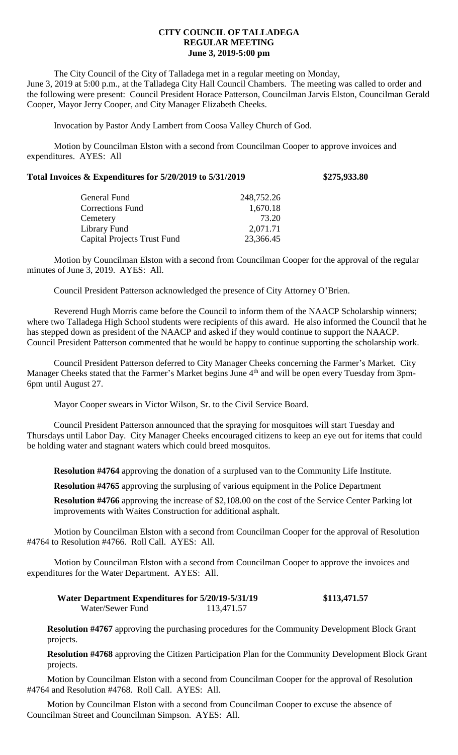## **CITY COUNCIL OF TALLADEGA REGULAR MEETING June 3, 2019-5:00 pm**

The City Council of the City of Talladega met in a regular meeting on Monday, June 3, 2019 at 5:00 p.m., at the Talladega City Hall Council Chambers. The meeting was called to order and the following were present: Council President Horace Patterson, Councilman Jarvis Elston, Councilman Gerald Cooper, Mayor Jerry Cooper, and City Manager Elizabeth Cheeks.

Invocation by Pastor Andy Lambert from Coosa Valley Church of God.

Motion by Councilman Elston with a second from Councilman Cooper to approve invoices and expenditures. AYES: All

| Total Invoices & Expenditures for 5/20/2019 to 5/31/2019 | \$275,933.80 |
|----------------------------------------------------------|--------------|
|----------------------------------------------------------|--------------|

| General Fund                | 248,752.26 |
|-----------------------------|------------|
| <b>Corrections Fund</b>     | 1,670.18   |
| Cemetery                    | 73.20      |
| Library Fund                | 2,071.71   |
| Capital Projects Trust Fund | 23,366.45  |

Motion by Councilman Elston with a second from Councilman Cooper for the approval of the regular minutes of June 3, 2019. AYES: All.

Council President Patterson acknowledged the presence of City Attorney O'Brien.

Reverend Hugh Morris came before the Council to inform them of the NAACP Scholarship winners; where two Talladega High School students were recipients of this award. He also informed the Council that he has stepped down as president of the NAACP and asked if they would continue to support the NAACP. Council President Patterson commented that he would be happy to continue supporting the scholarship work.

Council President Patterson deferred to City Manager Cheeks concerning the Farmer's Market. City Manager Cheeks stated that the Farmer's Market begins June 4<sup>th</sup> and will be open every Tuesday from 3pm-6pm until August 27.

Mayor Cooper swears in Victor Wilson, Sr. to the Civil Service Board.

Council President Patterson announced that the spraying for mosquitoes will start Tuesday and Thursdays until Labor Day. City Manager Cheeks encouraged citizens to keep an eye out for items that could be holding water and stagnant waters which could breed mosquitos.

**Resolution #4764** approving the donation of a surplused van to the Community Life Institute.

**Resolution #4765** approving the surplusing of various equipment in the Police Department

**Resolution #4766** approving the increase of \$2,108.00 on the cost of the Service Center Parking lot improvements with Waites Construction for additional asphalt.

Motion by Councilman Elston with a second from Councilman Cooper for the approval of Resolution #4764 to Resolution #4766. Roll Call. AYES: All.

Motion by Councilman Elston with a second from Councilman Cooper to approve the invoices and expenditures for the Water Department. AYES: All.

**Water Department Expenditures for 5/20/19-5/31/19 \$113,471.57**<br>Water/Sewer Fund 113,471.57 Water/Sewer Fund

**Resolution #4767** approving the purchasing procedures for the Community Development Block Grant projects.

**Resolution #4768** approving the Citizen Participation Plan for the Community Development Block Grant projects.

Motion by Councilman Elston with a second from Councilman Cooper for the approval of Resolution #4764 and Resolution #4768. Roll Call. AYES: All.

Motion by Councilman Elston with a second from Councilman Cooper to excuse the absence of Councilman Street and Councilman Simpson. AYES: All.